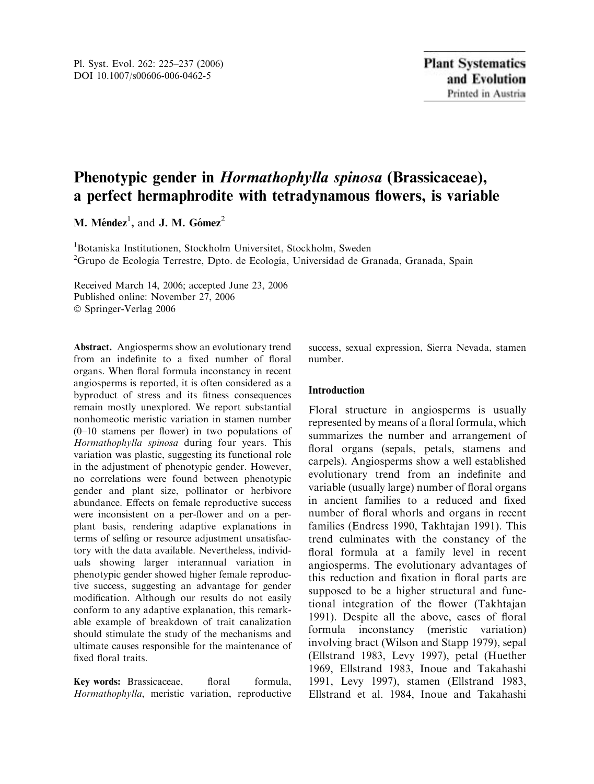# Phenotypic gender in Hormathophylla spinosa (Brassicaceae), a perfect hermaphrodite with tetradynamous flowers, is variable

**M. Méndez<sup>1</sup>, and J. M. Gómez<sup>2</sup>** 

1 Botaniska Institutionen, Stockholm Universitet, Stockholm, Sweden <sup>2</sup>Grupo de Ecología Terrestre, Dpto. de Ecología, Universidad de Granada, Granada, Spain

Received March 14, 2006; accepted June 23, 2006 Published online: November 27, 2006 Springer-Verlag 2006

Abstract. Angiosperms show an evolutionary trend from an indefinite to a fixed number of floral organs. When floral formula inconstancy in recent angiosperms is reported, it is often considered as a byproduct of stress and its fitness consequences remain mostly unexplored. We report substantial nonhomeotic meristic variation in stamen number (0–10 stamens per flower) in two populations of Hormathophylla spinosa during four years. This variation was plastic, suggesting its functional role in the adjustment of phenotypic gender. However, no correlations were found between phenotypic gender and plant size, pollinator or herbivore abundance. Effects on female reproductive success were inconsistent on a per-flower and on a perplant basis, rendering adaptive explanations in terms of selfing or resource adjustment unsatisfactory with the data available. Nevertheless, individuals showing larger interannual variation in phenotypic gender showed higher female reproductive success, suggesting an advantage for gender modification. Although our results do not easily conform to any adaptive explanation, this remarkable example of breakdown of trait canalization should stimulate the study of the mechanisms and ultimate causes responsible for the maintenance of fixed floral traits.

Key words: Brassicaceae, floral formula, Hormathophylla, meristic variation, reproductive success, sexual expression, Sierra Nevada, stamen number.

#### Introduction

Floral structure in angiosperms is usually represented by means of a floral formula, which summarizes the number and arrangement of floral organs (sepals, petals, stamens and carpels). Angiosperms show a well established evolutionary trend from an indefinite and variable (usually large) number of floral organs in ancient families to a reduced and fixed number of floral whorls and organs in recent families (Endress 1990, Takhtajan 1991). This trend culminates with the constancy of the floral formula at a family level in recent angiosperms. The evolutionary advantages of this reduction and fixation in floral parts are supposed to be a higher structural and functional integration of the flower (Takhtajan 1991). Despite all the above, cases of floral formula inconstancy (meristic variation) involving bract (Wilson and Stapp 1979), sepal (Ellstrand 1983, Levy 1997), petal (Huether 1969, Ellstrand 1983, Inoue and Takahashi 1991, Levy 1997), stamen (Ellstrand 1983, Ellstrand et al. 1984, Inoue and Takahashi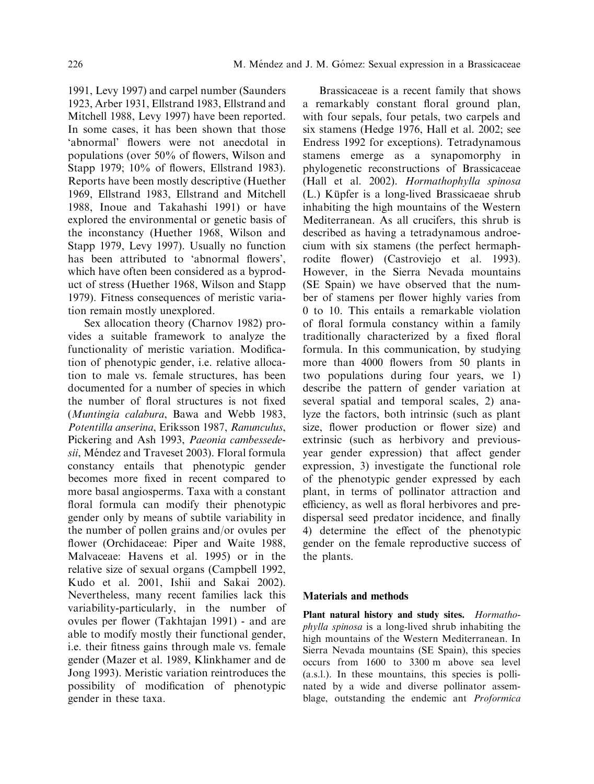1991, Levy 1997) and carpel number (Saunders 1923, Arber 1931, Ellstrand 1983, Ellstrand and Mitchell 1988, Levy 1997) have been reported. In some cases, it has been shown that those 'abnormal' flowers were not anecdotal in populations (over 50% of flowers, Wilson and Stapp 1979; 10% of flowers, Ellstrand 1983). Reports have been mostly descriptive (Huether 1969, Ellstrand 1983, Ellstrand and Mitchell 1988, Inoue and Takahashi 1991) or have explored the environmental or genetic basis of the inconstancy (Huether 1968, Wilson and Stapp 1979, Levy 1997). Usually no function has been attributed to 'abnormal flowers', which have often been considered as a byproduct of stress (Huether 1968, Wilson and Stapp 1979). Fitness consequences of meristic variation remain mostly unexplored.

Sex allocation theory (Charnov 1982) provides a suitable framework to analyze the functionality of meristic variation. Modification of phenotypic gender, i.e. relative allocation to male vs. female structures, has been documented for a number of species in which the number of floral structures is not fixed (Muntingia calabura, Bawa and Webb 1983, Potentilla anserina, Eriksson 1987, Ranunculus, Pickering and Ash 1993, Paeonia cambessedesii, Méndez and Traveset 2003). Floral formula constancy entails that phenotypic gender becomes more fixed in recent compared to more basal angiosperms. Taxa with a constant floral formula can modify their phenotypic gender only by means of subtile variability in the number of pollen grains and/or ovules per flower (Orchidaceae: Piper and Waite 1988, Malvaceae: Havens et al. 1995) or in the relative size of sexual organs (Campbell 1992, Kudo et al. 2001, Ishii and Sakai 2002). Nevertheless, many recent families lack this variability-particularly, in the number of ovules per flower (Takhtajan 1991) - and are able to modify mostly their functional gender, i.e. their fitness gains through male vs. female gender (Mazer et al. 1989, Klinkhamer and de Jong 1993). Meristic variation reintroduces the possibility of modification of phenotypic gender in these taxa.

Brassicaceae is a recent family that shows a remarkably constant floral ground plan, with four sepals, four petals, two carpels and six stamens (Hedge 1976, Hall et al. 2002; see Endress 1992 for exceptions). Tetradynamous stamens emerge as a synapomorphy in phylogenetic reconstructions of Brassicaceae (Hall et al. 2002). Hormathophylla spinosa (L.) Küpfer is a long-lived Brassicaeae shrub inhabiting the high mountains of the Western Mediterranean. As all crucifers, this shrub is described as having a tetradynamous androecium with six stamens (the perfect hermaphrodite flower) (Castroviejo et al. 1993). However, in the Sierra Nevada mountains (SE Spain) we have observed that the number of stamens per flower highly varies from 0 to 10. This entails a remarkable violation of floral formula constancy within a family traditionally characterized by a fixed floral formula. In this communication, by studying more than 4000 flowers from 50 plants in two populations during four years, we 1) describe the pattern of gender variation at several spatial and temporal scales, 2) analyze the factors, both intrinsic (such as plant size, flower production or flower size) and extrinsic (such as herbivory and previousyear gender expression) that affect gender expression, 3) investigate the functional role of the phenotypic gender expressed by each plant, in terms of pollinator attraction and efficiency, as well as floral herbivores and predispersal seed predator incidence, and finally 4) determine the effect of the phenotypic gender on the female reproductive success of the plants.

### Materials and methods

Plant natural history and study sites. Hormathophylla spinosa is a long-lived shrub inhabiting the high mountains of the Western Mediterranean. In Sierra Nevada mountains (SE Spain), this species occurs from 1600 to 3300 m above sea level (a.s.l.). In these mountains, this species is pollinated by a wide and diverse pollinator assemblage, outstanding the endemic ant Proformica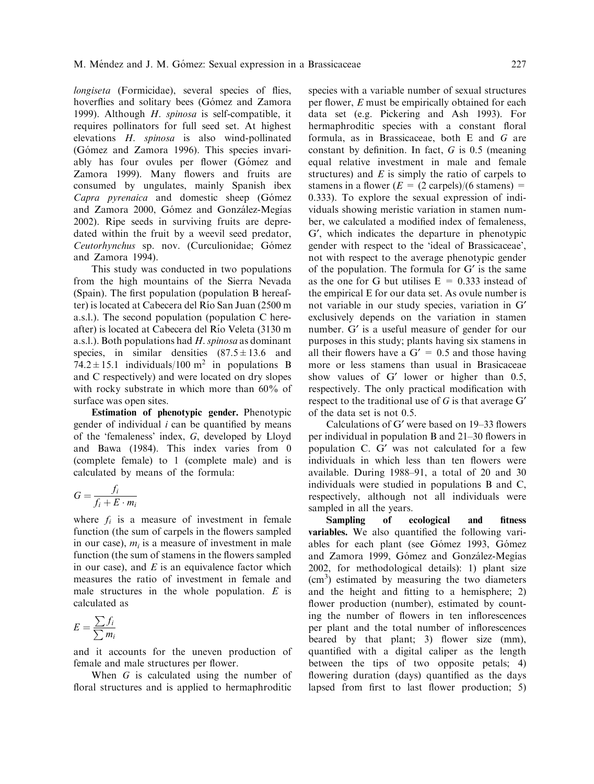*longiseta* (Formicidae), several species of flies, hoverflies and solitary bees (Gómez and Zamora 1999). Although H. spinosa is self-compatible, it requires pollinators for full seed set. At highest elevations H. spinosa is also wind-pollinated (Gómez and Zamora 1996). This species invariably has four ovules per flower (Gómez and Zamora 1999). Many flowers and fruits are consumed by ungulates, mainly Spanish ibex Capra pyrenaica and domestic sheep (Gómez and Zamora 2000, Gómez and González-Megías 2002). Ripe seeds in surviving fruits are depredated within the fruit by a weevil seed predator, Ceutorhynchus sp. nov. (Curculionidae; Gómez and Zamora 1994).

This study was conducted in two populations from the high mountains of the Sierra Nevada (Spain). The first population (population B hereafter) is located at Cabecera del Rı´o San Juan (2500 m a.s.l.). The second population (population C hereafter) is located at Cabecera del Rı´o Veleta (3130 m a.s.l.). Both populations had H. spinosa as dominant species, in similar densities  $(87.5 \pm 13.6)$  and 74.2  $\pm$  15.1 individuals/100 m<sup>2</sup> in populations B and C respectively) and were located on dry slopes with rocky substrate in which more than 60% of surface was open sites.

Estimation of phenotypic gender. Phenotypic gender of individual  $i$  can be quantified by means of the 'femaleness' index, G, developed by Lloyd and Bawa (1984). This index varies from 0 (complete female) to 1 (complete male) and is calculated by means of the formula:

$$
G = \frac{f_i}{f_i + E \cdot m_i}
$$

where  $f_i$  is a measure of investment in female function (the sum of carpels in the flowers sampled in our case),  $m_i$  is a measure of investment in male function (the sum of stamens in the flowers sampled in our case), and  $E$  is an equivalence factor which measures the ratio of investment in female and male structures in the whole population.  $E$  is calculated as

$$
E = \frac{\sum f_i}{\sum m_i}
$$

and it accounts for the uneven production of female and male structures per flower.

When G is calculated using the number of floral structures and is applied to hermaphroditic species with a variable number of sexual structures per flower, E must be empirically obtained for each data set (e.g. Pickering and Ash 1993). For hermaphroditic species with a constant floral formula, as in Brassicaceae, both E and G are constant by definition. In fact,  $G$  is 0.5 (meaning equal relative investment in male and female structures) and  $E$  is simply the ratio of carpels to stamens in a flower  $(E = (2 \text{ carpels})/(6 \text{ stamens}) =$ 0.333). To explore the sexual expression of individuals showing meristic variation in stamen number, we calculated a modified index of femaleness, G', which indicates the departure in phenotypic gender with respect to the 'ideal of Brassicaceae', not with respect to the average phenotypic gender of the population. The formula for  $G'$  is the same as the one for G but utilises  $E = 0.333$  instead of the empirical E for our data set. As ovule number is not variable in our study species, variation in G' exclusively depends on the variation in stamen number. G' is a useful measure of gender for our purposes in this study; plants having six stamens in all their flowers have a  $G' = 0.5$  and those having more or less stamens than usual in Brasicaceae show values of G' lower or higher than 0.5, respectively. The only practical modification with respect to the traditional use of  $G$  is that average  $G'$ of the data set is not 0.5.

Calculations of G' were based on 19–33 flowers per individual in population B and 21–30 flowers in population C. G' was not calculated for a few individuals in which less than ten flowers were available. During 1988–91, a total of 20 and 30 individuals were studied in populations B and C, respectively, although not all individuals were sampled in all the years.

Sampling of ecological and fitness variables. We also quantified the following variables for each plant (see Gómez 1993, Gómez and Zamora 1999, Gómez and González-Megías 2002, for methodological details): 1) plant size (cm<sup>3</sup> ) estimated by measuring the two diameters and the height and fitting to a hemisphere; 2) flower production (number), estimated by counting the number of flowers in ten inflorescences per plant and the total number of inflorescences beared by that plant; 3) flower size (mm), quantified with a digital caliper as the length between the tips of two opposite petals; 4) flowering duration (days) quantified as the days lapsed from first to last flower production; 5)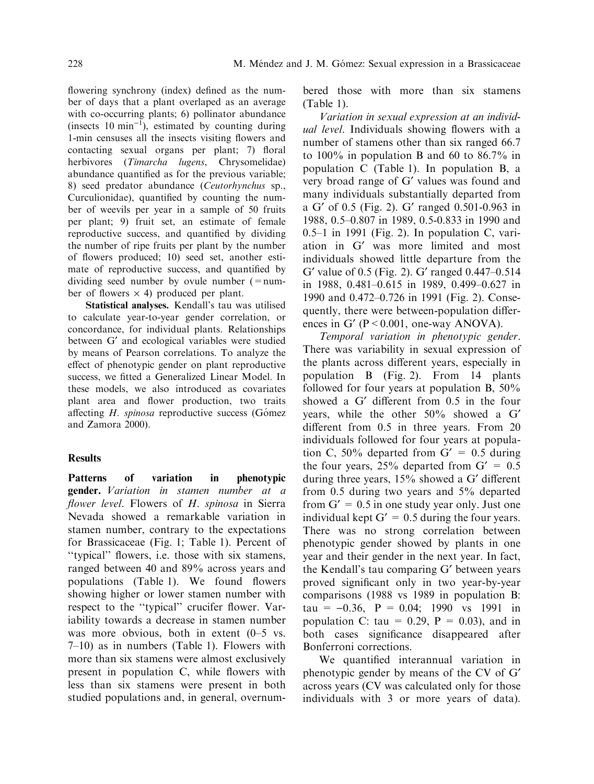flowering synchrony (index) defined as the number of days that a plant overlaped as an average with co-occurring plants; 6) pollinator abundance (insects 10 min<sup>-1</sup>), estimated by counting during 1-min censuses all the insects visiting flowers and contacting sexual organs per plant; 7) floral herbivores (Timarcha lugens, Chrysomelidae) abundance quantified as for the previous variable; 8) seed predator abundance (Ceutorhynchus sp., Curculionidae), quantified by counting the number of weevils per year in a sample of 50 fruits per plant; 9) fruit set, an estimate of female reproductive success, and quantified by dividing the number of ripe fruits per plant by the number of flowers produced; 10) seed set, another estimate of reproductive success, and quantified by dividing seed number by ovule number  $(=$ number of flowers  $\times$  4) produced per plant.

Statistical analyses. Kendall's tau was utilised to calculate year-to-year gender correlation, or concordance, for individual plants. Relationships between G' and ecological variables were studied by means of Pearson correlations. To analyze the effect of phenotypic gender on plant reproductive success, we fitted a Generalized Linear Model. In these models, we also introduced as covariates plant area and flower production, two traits affecting  $H$ . spinosa reproductive success (Gómez and Zamora 2000).

### Results

Patterns of variation in phenotypic gender. Variation in stamen number at a flower level. Flowers of H. spinosa in Sierra Nevada showed a remarkable variation in stamen number, contrary to the expectations for Brassicaceae (Fig. 1; Table 1). Percent of ''typical'' flowers, i.e. those with six stamens, ranged between 40 and 89% across years and populations (Table 1). We found flowers showing higher or lower stamen number with respect to the ''typical'' crucifer flower. Variability towards a decrease in stamen number was more obvious, both in extent  $(0-5$  vs. 7–10) as in numbers (Table 1). Flowers with more than six stamens were almost exclusively present in population C, while flowers with less than six stamens were present in both studied populations and, in general, overnum-

bered those with more than six stamens (Table 1).

Variation in sexual expression at an individual level. Individuals showing flowers with a number of stamens other than six ranged 66.7 to  $100\%$  in population B and 60 to 86.7% in population C (Table 1). In population B, a very broad range of G' values was found and many individuals substantially departed from a G' of 0.5 (Fig. 2). G' ranged 0.501-0.963 in 1988, 0.5–0.807 in 1989, 0.5-0.833 in 1990 and 0.5–1 in 1991 (Fig. 2). In population C, variation in G' was more limited and most individuals showed little departure from the G' value of 0.5 (Fig. 2). G' ranged  $0.447-0.514$ in 1988, 0.481–0.615 in 1989, 0.499–0.627 in 1990 and 0.472–0.726 in 1991 (Fig. 2). Consequently, there were between-population differences in G'  $(P < 0.001$ , one-way ANOVA).

Temporal variation in phenotypic gender. There was variability in sexual expression of the plants across different years, especially in population B (Fig. 2). From 14 plants followed for four years at population B, 50% showed a G' different from 0.5 in the four years, while the other 50% showed a G' different from 0.5 in three years. From 20 individuals followed for four years at population C,  $50\%$  departed from G' = 0.5 during the four years,  $25\%$  departed from  $G' = 0.5$ during three years,  $15%$  showed a G' different from 0.5 during two years and 5% departed from  $G' = 0.5$  in one study year only. Just one individual kept  $G' = 0.5$  during the four years. There was no strong correlation between phenotypic gender showed by plants in one year and their gender in the next year. In fact, the Kendall's tau comparing G' between years proved significant only in two year-by-year comparisons (1988 vs 1989 in population B:  $tau = -0.36$ ,  $P = 0.04$ ; 1990 vs 1991 in population C: tau =  $0.29$ ,  $P = 0.03$ ), and in both cases significance disappeared after Bonferroni corrections.

We quantified interannual variation in phenotypic gender by means of the CV of G' across years (CV was calculated only for those individuals with 3 or more years of data).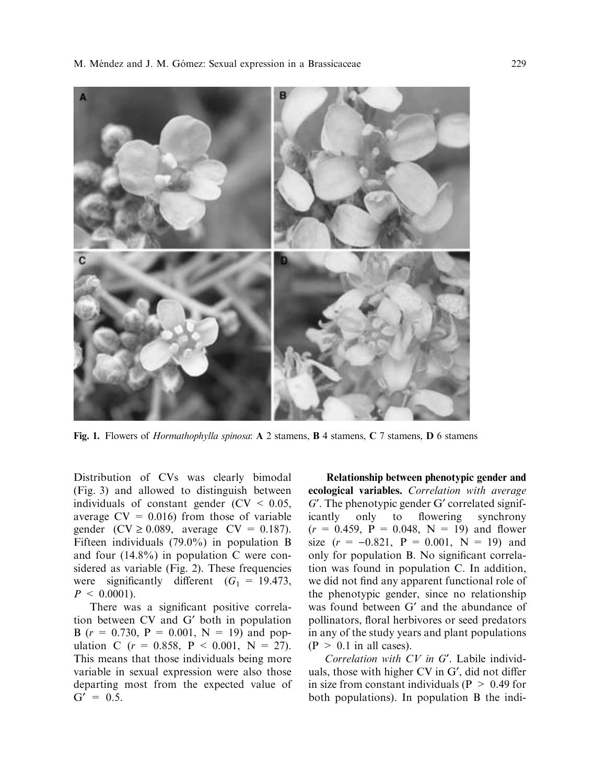

Fig. 1. Flowers of *Hormathophylla spinosa*: A 2 stamens, B 4 stamens, C 7 stamens, D 6 stamens

Distribution of CVs was clearly bimodal (Fig. 3) and allowed to distinguish between individuals of constant gender  $(CV < 0.05$ , average  $CV = 0.016$ ) from those of variable gender  $(CV \ge 0.089$ , average  $CV = 0.187$ ). Fifteen individuals (79.0%) in population B and four (14.8%) in population C were considered as variable (Fig. 2). These frequencies were significantly different  $(G_1 = 19.473)$ ,  $P < 0.0001$ ).

There was a significant positive correlation between  $CV$  and  $G'$  both in population B ( $r = 0.730$ ,  $P = 0.001$ ,  $N = 19$ ) and population C  $(r = 0.858, P < 0.001, N = 27)$ . This means that those individuals being more variable in sexual expression were also those departing most from the expected value of  $G' = 0.5$ .

Relationship between phenotypic gender and ecological variables. Correlation with average  $G'$ . The phenotypic gender  $G'$  correlated significantly only to flowering synchrony  $(r = 0.459, P = 0.048, N = 19)$  and flower size  $(r = -0.821, P = 0.001, N = 19)$  and only for population B. No significant correlation was found in population C. In addition, we did not find any apparent functional role of the phenotypic gender, since no relationship was found between G' and the abundance of pollinators, floral herbivores or seed predators in any of the study years and plant populations  $(P > 0.1$  in all cases).

Correlation with  $CV$  in  $G'$ . Labile individuals, those with higher  $CV$  in  $G'$ , did not differ in size from constant individuals ( $P > 0.49$  for both populations). In population B the indi-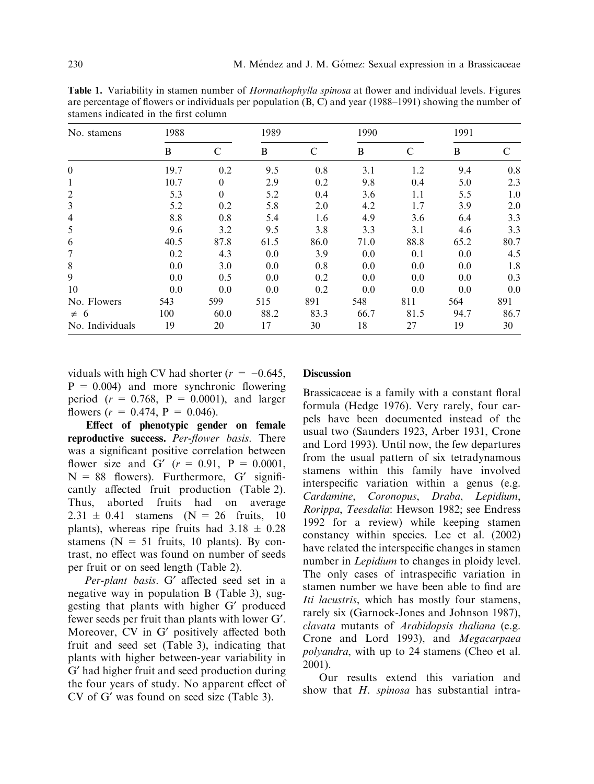| No. stamens             | 1988 |                  | 1989         |      | 1990 |              | 1991 |      |  |
|-------------------------|------|------------------|--------------|------|------|--------------|------|------|--|
|                         | B    | C                | $\, {\bf B}$ | C    | B    | $\mathsf{C}$ | B    |      |  |
| $\boldsymbol{0}$        | 19.7 | 0.2              | 9.5          | 0.8  | 3.1  | 1.2          | 9.4  | 0.8  |  |
| $\mathbf{1}$            | 10.7 | $\theta$         | 2.9          | 0.2  | 9.8  | 0.4          | 5.0  | 2.3  |  |
| $\overline{c}$          | 5.3  | $\boldsymbol{0}$ | 5.2          | 0.4  | 3.6  | 1.1          | 5.5  | 1.0  |  |
| 3                       | 5.2  | 0.2              | 5.8          | 2.0  | 4.2  | 1.7          | 3.9  | 2.0  |  |
| $\overline{\mathbf{4}}$ | 8.8  | 0.8              | 5.4          | 1.6  | 4.9  | 3.6          | 6.4  | 3.3  |  |
| 5                       | 9.6  | 3.2              | 9.5          | 3.8  | 3.3  | 3.1          | 4.6  | 3.3  |  |
| 6                       | 40.5 | 87.8             | 61.5         | 86.0 | 71.0 | 88.8         | 65.2 | 80.7 |  |
| 7                       | 0.2  | 4.3              | 0.0          | 3.9  | 0.0  | 0.1          | 0.0  | 4.5  |  |
| $8\,$                   | 0.0  | 3.0              | 0.0          | 0.8  | 0.0  | 0.0          | 0.0  | 1.8  |  |
| 9                       | 0.0  | 0.5              | 0.0          | 0.2  | 0.0  | 0.0          | 0.0  | 0.3  |  |
| 10                      | 0.0  | 0.0              | 0.0          | 0.2  | 0.0  | 0.0          | 0.0  | 0.0  |  |
| No. Flowers             | 543  | 599              | 515          | 891  | 548  | 811          | 564  | 891  |  |
| $\neq 6$                | 100  | 60.0             | 88.2         | 83.3 | 66.7 | 81.5         | 94.7 | 86.7 |  |
| No. Individuals         | 19   | 20               | 17           | 30   | 18   | 27           | 19   | 30   |  |

Table 1. Variability in stamen number of *Hormathophylla spinosa* at flower and individual levels. Figures are percentage of flowers or individuals per population (B, C) and year (1988–1991) showing the number of stamens indicated in the first column

viduals with high CV had shorter ( $r = -0.645$ ,  $P = 0.004$ ) and more synchronic flowering period  $(r = 0.768, P = 0.0001)$ , and larger flowers ( $r = 0.474$ ,  $P = 0.046$ ).

Effect of phenotypic gender on female reproductive success. Per-flower basis. There was a significant positive correlation between flower size and G'  $(r = 0.91, P = 0.0001,$  $N = 88$  flowers). Furthermore, G' significantly affected fruit production (Table 2). Thus, aborted fruits had on average  $2.31 \pm 0.41$  stamens (N = 26 fruits, 10 plants), whereas ripe fruits had  $3.18 \pm 0.28$ stamens ( $N = 51$  fruits, 10 plants). By contrast, no effect was found on number of seeds per fruit or on seed length (Table 2).

Per-plant basis. G' affected seed set in a negative way in population B (Table 3), suggesting that plants with higher G' produced fewer seeds per fruit than plants with lower G'. Moreover, CV in G' positively affected both fruit and seed set (Table 3), indicating that plants with higher between-year variability in G' had higher fruit and seed production during the four years of study. No apparent effect of CV of G' was found on seed size (Table 3).

## **Discussion**

Brassicaceae is a family with a constant floral formula (Hedge 1976). Very rarely, four carpels have been documented instead of the usual two (Saunders 1923, Arber 1931, Crone and Lord 1993). Until now, the few departures from the usual pattern of six tetradynamous stamens within this family have involved interspecific variation within a genus (e.g. Cardamine, Coronopus, Draba, Lepidium, Rorippa, Teesdalia: Hewson 1982; see Endress 1992 for a review) while keeping stamen constancy within species. Lee et al. (2002) have related the interspecific changes in stamen number in *Lepidium* to changes in ploidy level. The only cases of intraspecific variation in stamen number we have been able to find are Iti lacustris, which has mostly four stamens, rarely six (Garnock-Jones and Johnson 1987), clavata mutants of Arabidopsis thaliana (e.g. Crone and Lord 1993), and Megacarpaea polyandra, with up to 24 stamens (Cheo et al. 2001).

Our results extend this variation and show that H. spinosa has substantial intra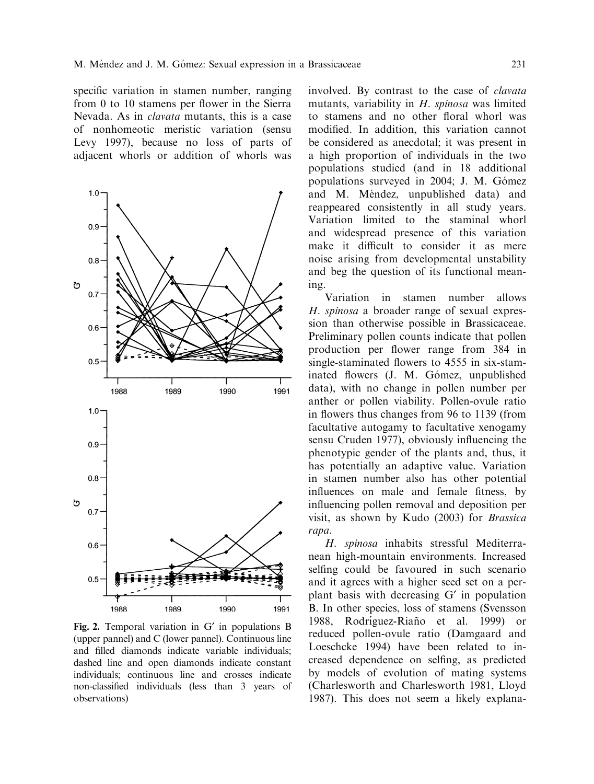specific variation in stamen number, ranging from 0 to 10 stamens per flower in the Sierra Nevada. As in clavata mutants, this is a case of nonhomeotic meristic variation (sensu Levy 1997), because no loss of parts of adjacent whorls or addition of whorls was



Fig. 2. Temporal variation in  $G'$  in populations B (upper pannel) and C (lower pannel). Continuous line and filled diamonds indicate variable individuals; dashed line and open diamonds indicate constant individuals; continuous line and crosses indicate non-classified individuals (less than 3 years of observations)

involved. By contrast to the case of clavata mutants, variability in H. spinosa was limited to stamens and no other floral whorl was modified. In addition, this variation cannot be considered as anecdotal; it was present in a high proportion of individuals in the two populations studied (and in 18 additional populations surveyed in 2004; J. M. Gómez and M. Méndez, unpublished data) and reappeared consistently in all study years. Variation limited to the staminal whorl and widespread presence of this variation make it difficult to consider it as mere noise arising from developmental unstability and beg the question of its functional meaning.

Variation in stamen number allows H. spinosa a broader range of sexual expression than otherwise possible in Brassicaceae. Preliminary pollen counts indicate that pollen production per flower range from 384 in single-staminated flowers to 4555 in six-staminated flowers (J. M. Gómez, unpublished data), with no change in pollen number per anther or pollen viability. Pollen-ovule ratio in flowers thus changes from 96 to 1139 (from facultative autogamy to facultative xenogamy sensu Cruden 1977), obviously influencing the phenotypic gender of the plants and, thus, it has potentially an adaptive value. Variation in stamen number also has other potential influences on male and female fitness, by influencing pollen removal and deposition per visit, as shown by Kudo (2003) for Brassica rapa.

H. spinosa inhabits stressful Mediterranean high-mountain environments. Increased selfing could be favoured in such scenario and it agrees with a higher seed set on a perplant basis with decreasing  $G'$  in population B. In other species, loss of stamens (Svensson 1988, Rodríguez-Riaño et al. 1999) or reduced pollen-ovule ratio (Damgaard and Loeschcke 1994) have been related to increased dependence on selfing, as predicted by models of evolution of mating systems (Charlesworth and Charlesworth 1981, Lloyd 1987). This does not seem a likely explana-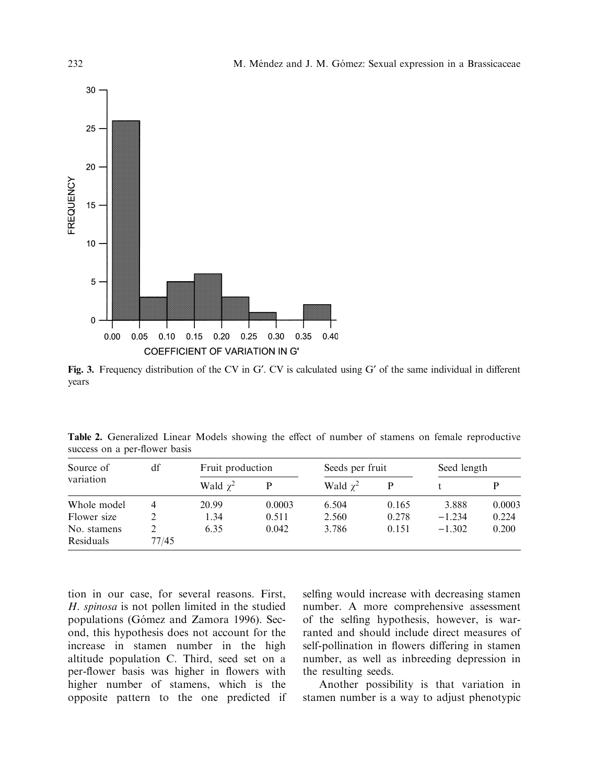

Fig. 3. Frequency distribution of the CV in G'. CV is calculated using G' of the same individual in different years

| Table 2. Generalized Linear Models showing the effect of number of stamens on female reproductive |  |  |  |  |  |  |  |
|---------------------------------------------------------------------------------------------------|--|--|--|--|--|--|--|
| success on a per-flower basis                                                                     |  |  |  |  |  |  |  |

| df |               |        |                  |       | Seed length     |        |  |
|----|---------------|--------|------------------|-------|-----------------|--------|--|
|    | Wald $\chi^2$ |        | Wald $\chi^2$    |       |                 |        |  |
|    | 20.99         | 0.0003 | 6.504            | 0.165 | 3.888           | 0.0003 |  |
|    | 1.34          | 0.511  | 2.560            | 0.278 | $-1.234$        | 0.224  |  |
|    | 6.35          | 0.042  | 3.786            | 0.151 | $-1.302$        | 0.200  |  |
|    | 77/45         |        | Fruit production |       | Seeds per fruit |        |  |

tion in our case, for several reasons. First, H. spinosa is not pollen limited in the studied populations (Gómez and Zamora 1996). Second, this hypothesis does not account for the increase in stamen number in the high altitude population C. Third, seed set on a per-flower basis was higher in flowers with higher number of stamens, which is the opposite pattern to the one predicted if selfing would increase with decreasing stamen number. A more comprehensive assessment of the selfing hypothesis, however, is warranted and should include direct measures of self-pollination in flowers differing in stamen number, as well as inbreeding depression in the resulting seeds.

Another possibility is that variation in stamen number is a way to adjust phenotypic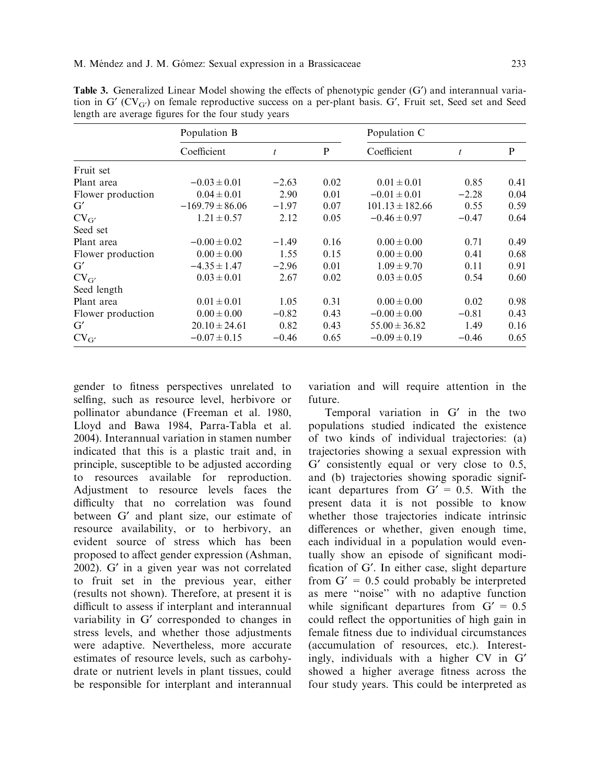M. Méndez and J. M. Gómez: Sexual expression in a Brassicaceae 233

|                   | Population B        |                       | Population C |                     |                  |             |  |
|-------------------|---------------------|-----------------------|--------------|---------------------|------------------|-------------|--|
|                   | Coefficient         | P<br>$\boldsymbol{t}$ |              | Coefficient         | $\boldsymbol{t}$ | $\mathbf P$ |  |
| Fruit set         |                     |                       |              |                     |                  |             |  |
| Plant area        | $-0.03 \pm 0.01$    | $-2.63$               | 0.02         | $0.01 \pm 0.01$     | 0.85             | 0.41        |  |
| Flower production | $0.04 \pm 0.01$     | 2.90                  | 0.01         | $-0.01 \pm 0.01$    | $-2.28$          | 0.04        |  |
| G'                | $-169.79 \pm 86.06$ | $-1.97$               | 0.07         | $101.13 \pm 182.66$ | 0.55             | 0.59        |  |
| $CV_{G'}$         | $1.21 \pm 0.57$     | 2.12                  | 0.05         | $-0.46 \pm 0.97$    | $-0.47$          | 0.64        |  |
| Seed set          |                     |                       |              |                     |                  |             |  |
| Plant area        | $-0.00 \pm 0.02$    | $-1.49$               | 0.16         | $0.00 \pm 0.00$     | 0.71             | 0.49        |  |
| Flower production | $0.00 \pm 0.00$     | 1.55                  | 0.15         | $0.00 \pm 0.00$     | 0.41             | 0.68        |  |
| G'                | $-4.35 \pm 1.47$    | $-2.96$               | 0.01         | $1.09 \pm 9.70$     | 0.11             | 0.91        |  |
| $CV_{G'}$         | $0.03 \pm 0.01$     | 2.67                  | 0.02         | $0.03 \pm 0.05$     | 0.54             | 0.60        |  |
| Seed length       |                     |                       |              |                     |                  |             |  |
| Plant area        | $0.01 \pm 0.01$     | 1.05                  | 0.31         | $0.00 \pm 0.00$     | 0.02             | 0.98        |  |
| Flower production | $0.00 \pm 0.00$     | $-0.82$               | 0.43         | $-0.00 \pm 0.00$    | $-0.81$          | 0.43        |  |
| G'                | $20.10 \pm 24.61$   | 0.82                  | 0.43         | $55.00 \pm 36.82$   | 1.49             | 0.16        |  |
| $CV_{G'}$         | $-0.07 \pm 0.15$    | $-0.46$               | 0.65         | $-0.09 \pm 0.19$    | $-0.46$          | 0.65        |  |

Table 3. Generalized Linear Model showing the effects of phenotypic gender (G') and interannual variation in G' ( $CV<sub>G'</sub>$ ) on female reproductive success on a per-plant basis. G', Fruit set, Seed set and Seed length are average figures for the four study years

gender to fitness perspectives unrelated to selfing, such as resource level, herbivore or pollinator abundance (Freeman et al. 1980, Lloyd and Bawa 1984, Parra-Tabla et al. 2004). Interannual variation in stamen number indicated that this is a plastic trait and, in principle, susceptible to be adjusted according to resources available for reproduction. Adjustment to resource levels faces the difficulty that no correlation was found between G' and plant size, our estimate of resource availability, or to herbivory, an evident source of stress which has been proposed to affect gender expression (Ashman, 2002). G' in a given year was not correlated to fruit set in the previous year, either (results not shown). Therefore, at present it is difficult to assess if interplant and interannual variability in G' corresponded to changes in stress levels, and whether those adjustments were adaptive. Nevertheless, more accurate estimates of resource levels, such as carbohydrate or nutrient levels in plant tissues, could be responsible for interplant and interannual variation and will require attention in the future.

Temporal variation in  $G'$  in the two populations studied indicated the existence of two kinds of individual trajectories: (a) trajectories showing a sexual expression with  $G'$  consistently equal or very close to 0.5, and (b) trajectories showing sporadic significant departures from  $G' = 0.5$ . With the present data it is not possible to know whether those trajectories indicate intrinsic differences or whether, given enough time, each individual in a population would eventually show an episode of significant modification of G'. In either case, slight departure from  $G' = 0.5$  could probably be interpreted as mere ''noise'' with no adaptive function while significant departures from  $G' = 0.5$ could reflect the opportunities of high gain in female fitness due to individual circumstances (accumulation of resources, etc.). Interestingly, individuals with a higher  $CV$  in  $G'$ showed a higher average fitness across the four study years. This could be interpreted as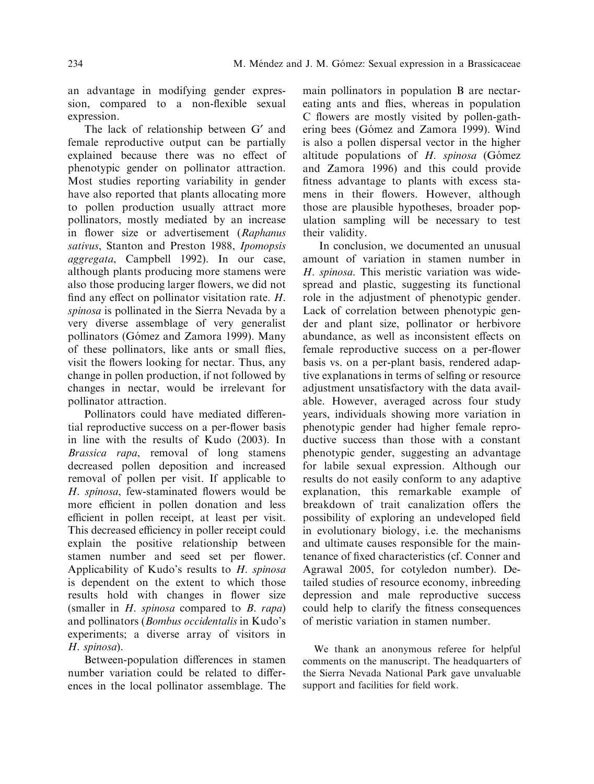an advantage in modifying gender expression, compared to a non-flexible sexual expression.

The lack of relationship between G' and female reproductive output can be partially explained because there was no effect of phenotypic gender on pollinator attraction. Most studies reporting variability in gender have also reported that plants allocating more to pollen production usually attract more pollinators, mostly mediated by an increase in flower size or advertisement (Raphanus sativus, Stanton and Preston 1988, Ipomopsis aggregata, Campbell 1992). In our case, although plants producing more stamens were also those producing larger flowers, we did not find any effect on pollinator visitation rate. H. spinosa is pollinated in the Sierra Nevada by a very diverse assemblage of very generalist pollinators (Gómez and Zamora 1999). Many of these pollinators, like ants or small flies, visit the flowers looking for nectar. Thus, any change in pollen production, if not followed by changes in nectar, would be irrelevant for pollinator attraction.

Pollinators could have mediated differential reproductive success on a per-flower basis in line with the results of Kudo (2003). In Brassica rapa, removal of long stamens decreased pollen deposition and increased removal of pollen per visit. If applicable to H. spinosa, few-staminated flowers would be more efficient in pollen donation and less efficient in pollen receipt, at least per visit. This decreased efficiency in poller receipt could explain the positive relationship between stamen number and seed set per flower. Applicability of Kudo's results to  $H$ . spinosa is dependent on the extent to which those results hold with changes in flower size (smaller in  $H$ . spinosa compared to  $B$ . rapa) and pollinators (Bombus occidentalis in Kudo's experiments; a diverse array of visitors in H. spinosa).

Between-population differences in stamen number variation could be related to differences in the local pollinator assemblage. The main pollinators in population B are nectareating ants and flies, whereas in population C flowers are mostly visited by pollen-gathering bees (Gómez and Zamora 1999). Wind is also a pollen dispersal vector in the higher altitude populations of  $H$ . spinosa (Gómez and Zamora 1996) and this could provide fitness advantage to plants with excess stamens in their flowers. However, although those are plausible hypotheses, broader population sampling will be necessary to test their validity.

In conclusion, we documented an unusual amount of variation in stamen number in H. spinosa. This meristic variation was widespread and plastic, suggesting its functional role in the adjustment of phenotypic gender. Lack of correlation between phenotypic gender and plant size, pollinator or herbivore abundance, as well as inconsistent effects on female reproductive success on a per-flower basis vs. on a per-plant basis, rendered adaptive explanations in terms of selfing or resource adjustment unsatisfactory with the data available. However, averaged across four study years, individuals showing more variation in phenotypic gender had higher female reproductive success than those with a constant phenotypic gender, suggesting an advantage for labile sexual expression. Although our results do not easily conform to any adaptive explanation, this remarkable example of breakdown of trait canalization offers the possibility of exploring an undeveloped field in evolutionary biology, i.e. the mechanisms and ultimate causes responsible for the maintenance of fixed characteristics (cf. Conner and Agrawal 2005, for cotyledon number). Detailed studies of resource economy, inbreeding depression and male reproductive success could help to clarify the fitness consequences of meristic variation in stamen number.

We thank an anonymous referee for helpful comments on the manuscript. The headquarters of the Sierra Nevada National Park gave unvaluable support and facilities for field work.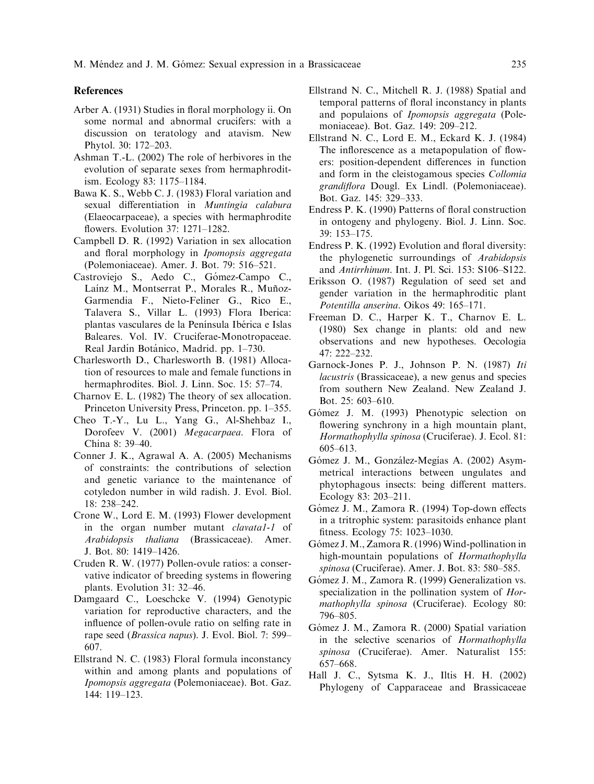#### References

- Arber A. (1931) Studies in floral morphology ii. On some normal and abnormal crucifers: with a discussion on teratology and atavism. New Phytol. 30: 172–203.
- Ashman T.-L. (2002) The role of herbivores in the evolution of separate sexes from hermaphroditism. Ecology 83: 1175–1184.
- Bawa K. S., Webb C. J. (1983) Floral variation and sexual differentiation in Muntingia calabura (Elaeocarpaceae), a species with hermaphrodite flowers. Evolution 37: 1271–1282.
- Campbell D. R. (1992) Variation in sex allocation and floral morphology in Ipomopsis aggregata (Polemoniaceae). Amer. J. Bot. 79: 516–521.
- Castroviejo S., Aedo C., Gómez-Campo C., Laínz M., Montserrat P., Morales R., Muñoz-Garmendia F., Nieto-Feliner G., Rico E., Talavera S., Villar L. (1993) Flora Iberica: plantas vasculares de la Península Ibérica e Islas Baleares. Vol. IV. Cruciferae-Monotropaceae. Real Jardín Botánico, Madrid. pp. 1-730.
- Charlesworth D., Charlesworth B. (1981) Allocation of resources to male and female functions in hermaphrodites. Biol. J. Linn. Soc. 15: 57–74.
- Charnov E. L. (1982) The theory of sex allocation. Princeton University Press, Princeton. pp. 1–355.
- Cheo T.-Y., Lu L., Yang G., Al-Shehbaz I., Dorofeev V. (2001) Megacarpaea. Flora of China 8: 39–40.
- Conner J. K., Agrawal A. A. (2005) Mechanisms of constraints: the contributions of selection and genetic variance to the maintenance of cotyledon number in wild radish. J. Evol. Biol. 18: 238–242.
- Crone W., Lord E. M. (1993) Flower development in the organ number mutant clavata1-1 of Arabidopsis thaliana (Brassicaceae). Amer. J. Bot. 80: 1419–1426.
- Cruden R. W. (1977) Pollen-ovule ratios: a conservative indicator of breeding systems in flowering plants. Evolution 31: 32–46.
- Damgaard C., Loeschcke V. (1994) Genotypic variation for reproductive characters, and the influence of pollen-ovule ratio on selfing rate in rape seed (Brassica napus). J. Evol. Biol. 7: 599– 607.
- Ellstrand N. C. (1983) Floral formula inconstancy within and among plants and populations of Ipomopsis aggregata (Polemoniaceae). Bot. Gaz. 144: 119–123.
- Ellstrand N. C., Mitchell R. J. (1988) Spatial and temporal patterns of floral inconstancy in plants and populaions of Ipomopsis aggregata (Polemoniaceae). Bot. Gaz. 149: 209–212.
- Ellstrand N. C., Lord E. M., Eckard K. J. (1984) The inflorescence as a metapopulation of flowers: position-dependent differences in function and form in the cleistogamous species Collomia grandiflora Dougl. Ex Lindl. (Polemoniaceae). Bot. Gaz. 145: 329–333.
- Endress P. K. (1990) Patterns of floral construction in ontogeny and phylogeny. Biol. J. Linn. Soc. 39: 153–175.
- Endress P. K. (1992) Evolution and floral diversity: the phylogenetic surroundings of Arabidopsis and Antirrhinum. Int. J. Pl. Sci. 153: S106–S122.
- Eriksson O. (1987) Regulation of seed set and gender variation in the hermaphroditic plant Potentilla anserina. Oikos 49: 165–171.
- Freeman D. C., Harper K. T., Charnov E. L. (1980) Sex change in plants: old and new observations and new hypotheses. Oecologia 47: 222–232.
- Garnock-Jones P. J., Johnson P. N. (1987) Iti lacustris (Brassicaceae), a new genus and species from southern New Zealand. New Zealand J. Bot. 25: 603–610.
- Gómez J. M. (1993) Phenotypic selection on flowering synchrony in a high mountain plant, Hormathophylla spinosa (Cruciferae). J. Ecol. 81: 605–613.
- Gómez J. M., González-Megías A. (2002) Asymmetrical interactions between ungulates and phytophagous insects: being different matters. Ecology 83: 203–211.
- Gómez J. M., Zamora R. (1994) Top-down effects in a tritrophic system: parasitoids enhance plant fitness. Ecology 75: 1023–1030.
- Gómez J. M., Zamora R. (1996) Wind-pollination in high-mountain populations of Hormathophylla spinosa (Cruciferae). Amer. J. Bot. 83: 580–585.
- Gómez J. M., Zamora R. (1999) Generalization vs. specialization in the pollination system of Hormathophylla spinosa (Cruciferae). Ecology 80: 796–805.
- Gómez J. M., Zamora R. (2000) Spatial variation in the selective scenarios of Hormathophylla spinosa (Cruciferae). Amer. Naturalist 155: 657–668.
- Hall J. C., Sytsma K. J., Iltis H. H. (2002) Phylogeny of Capparaceae and Brassicaceae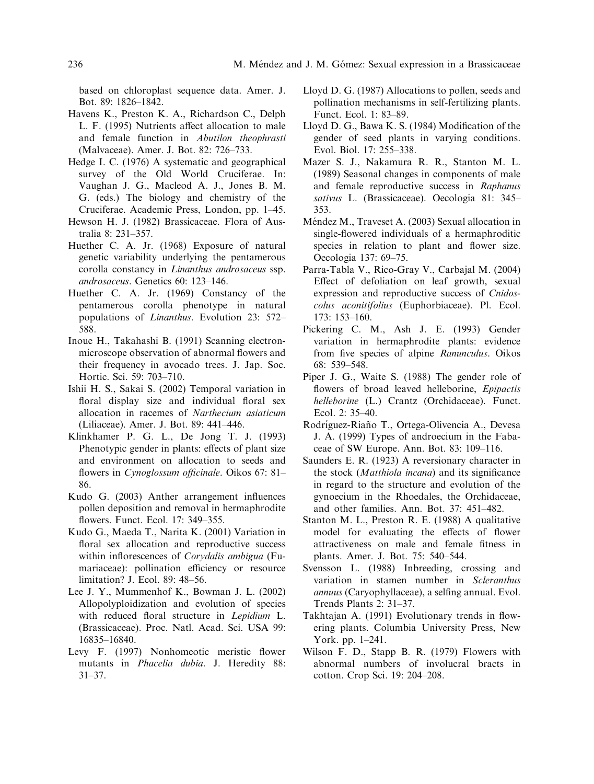based on chloroplast sequence data. Amer. J. Bot. 89: 1826–1842.

- Havens K., Preston K. A., Richardson C., Delph L. F. (1995) Nutrients affect allocation to male and female function in Abutilon theophrasti (Malvaceae). Amer. J. Bot. 82: 726–733.
- Hedge I. C. (1976) A systematic and geographical survey of the Old World Cruciferae. In: Vaughan J. G., Macleod A. J., Jones B. M. G. (eds.) The biology and chemistry of the Cruciferae. Academic Press, London, pp. 1–45.
- Hewson H. J. (1982) Brassicaceae. Flora of Australia 8: 231–357.
- Huether C. A. Jr. (1968) Exposure of natural genetic variability underlying the pentamerous corolla constancy in Linanthus androsaceus ssp. androsaceus. Genetics 60: 123–146.
- Huether C. A. Jr. (1969) Constancy of the pentamerous corolla phenotype in natural populations of Linanthus. Evolution 23: 572– 588.
- Inoue H., Takahashi B. (1991) Scanning electronmicroscope observation of abnormal flowers and their frequency in avocado trees. J. Jap. Soc. Hortic. Sci. 59: 703–710.
- Ishii H. S., Sakai S. (2002) Temporal variation in floral display size and individual floral sex allocation in racemes of Narthecium asiaticum (Liliaceae). Amer. J. Bot. 89: 441–446.
- Klinkhamer P. G. L., De Jong T. J. (1993) Phenotypic gender in plants: effects of plant size and environment on allocation to seeds and flowers in Cynoglossum officinale. Oikos 67: 81– 86.
- Kudo G. (2003) Anther arrangement influences pollen deposition and removal in hermaphrodite flowers. Funct. Ecol. 17: 349–355.
- Kudo G., Maeda T., Narita K. (2001) Variation in floral sex allocation and reproductive success within inflorescences of *Corydalis ambigua* (Fumariaceae): pollination efficiency or resource limitation? J. Ecol. 89: 48–56.
- Lee J. Y., Mummenhof K., Bowman J. L. (2002) Allopolyploidization and evolution of species with reduced floral structure in *Lepidium* L. (Brassicaceae). Proc. Natl. Acad. Sci. USA 99: 16835–16840.
- Levy F. (1997) Nonhomeotic meristic flower mutants in Phacelia dubia. J. Heredity 88: 31–37.
- Lloyd D. G. (1987) Allocations to pollen, seeds and pollination mechanisms in self-fertilizing plants. Funct. Ecol. 1: 83–89.
- Lloyd D. G., Bawa K. S. (1984) Modification of the gender of seed plants in varying conditions. Evol. Biol. 17: 255–338.
- Mazer S. J., Nakamura R. R., Stanton M. L. (1989) Seasonal changes in components of male and female reproductive success in Raphanus sativus L. (Brassicaceae). Oecologia 81: 345– 353.
- Méndez M., Traveset A. (2003) Sexual allocation in single-flowered individuals of a hermaphroditic species in relation to plant and flower size. Oecologia 137: 69–75.
- Parra-Tabla V., Rico-Gray V., Carbajal M. (2004) Effect of defoliation on leaf growth, sexual expression and reproductive success of Cnidoscolus aconitifolius (Euphorbiaceae). Pl. Ecol. 173: 153–160.
- Pickering C. M., Ash J. E. (1993) Gender variation in hermaphrodite plants: evidence from five species of alpine Ranunculus. Oikos 68: 539–548.
- Piper J. G., Waite S. (1988) The gender role of flowers of broad leaved helleborine, Epipactis helleborine (L.) Crantz (Orchidaceae). Funct. Ecol. 2: 35–40.
- Rodríguez-Riaño T., Ortega-Olivencia A., Devesa J. A. (1999) Types of androecium in the Fabaceae of SW Europe. Ann. Bot. 83: 109–116.
- Saunders E. R. (1923) A reversionary character in the stock (Matthiola incana) and its significance in regard to the structure and evolution of the gynoecium in the Rhoedales, the Orchidaceae, and other families. Ann. Bot. 37: 451–482.
- Stanton M. L., Preston R. E. (1988) A qualitative model for evaluating the effects of flower attractiveness on male and female fitness in plants. Amer. J. Bot. 75: 540–544.
- Svensson L. (1988) Inbreeding, crossing and variation in stamen number in Scleranthus annuus (Caryophyllaceae), a selfing annual. Evol. Trends Plants 2: 31–37.
- Takhtajan A. (1991) Evolutionary trends in flowering plants. Columbia University Press, New York. pp. 1–241.
- Wilson F. D., Stapp B. R. (1979) Flowers with abnormal numbers of involucral bracts in cotton. Crop Sci. 19: 204–208.